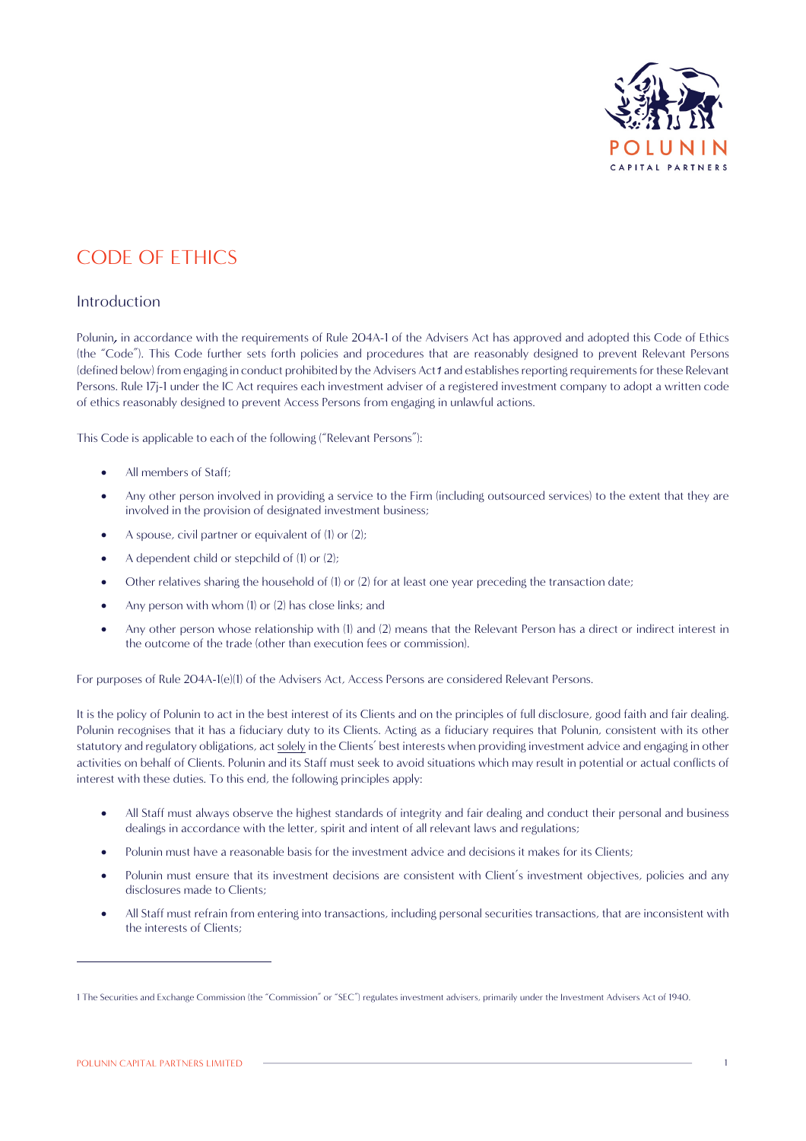

# CODE OF ETHICS

## Introduction

Polunin, in accordance with the requirements of Rule 204A-1 of the Advisers Act has approved and adopted this Code of Ethics (the "Code"). This Code further sets forth policies and procedures that are reasonably designed to prevent Relevant Persons (defined below) from engaging in conduct prohibited by the Advisers Act*1* and establishes reporting requirements for these Relevant Persons. Rule 17j-1 under the IC Act requires each investment adviser of a registered investment company to adopt a written code of ethics reasonably designed to prevent Access Persons from engaging in unlawful actions.

This Code is applicable to each of the following ("Relevant Persons"):

- All members of Staff:
- Any other person involved in providing a service to the Firm (including outsourced services) to the extent that they are involved in the provision of designated investment business;
- A spouse, civil partner or equivalent of (1) or (2);
- A dependent child or stepchild of (1) or (2):
- Other relatives sharing the household of (1) or (2) for at least one year preceding the transaction date;
- Any person with whom (1) or (2) has close links; and
- Any other person whose relationship with (1) and (2) means that the Relevant Person has a direct or indirect interest in the outcome of the trade (other than execution fees or commission).

For purposes of Rule 204A-1(e)(1) of the Advisers Act, Access Persons are considered Relevant Persons.

It is the policy of Polunin to act in the best interest of its Clients and on the principles of full disclosure, good faith and fair dealing. Polunin recognises that it has a fiduciary duty to its Clients. Acting as a fiduciary requires that Polunin, consistent with its other statutory and regulatory obligations, act solely in the Clients' best interests when providing investment advice and engaging in other activities on behalf of Clients. Polunin and its Staff must seek to avoid situations which may result in potential or actual conflicts of interest with these duties. To this end, the following principles apply:

- All Staff must always observe the highest standards of integrity and fair dealing and conduct their personal and business dealings in accordance with the letter, spirit and intent of all relevant laws and regulations;
- Polunin must have a reasonable basis for the investment advice and decisions it makes for its Clients;
- Polunin must ensure that its investment decisions are consistent with Client's investment objectives, policies and any disclosures made to Clients;
- All Staff must refrain from entering into transactions, including personal securities transactions, that are inconsistent with the interests of Clients;

<sup>1</sup> The Securities and Exchange Commission (the "Commission" or "SEC") regulates investment advisers, primarily under the Investment Advisers Act of 1940.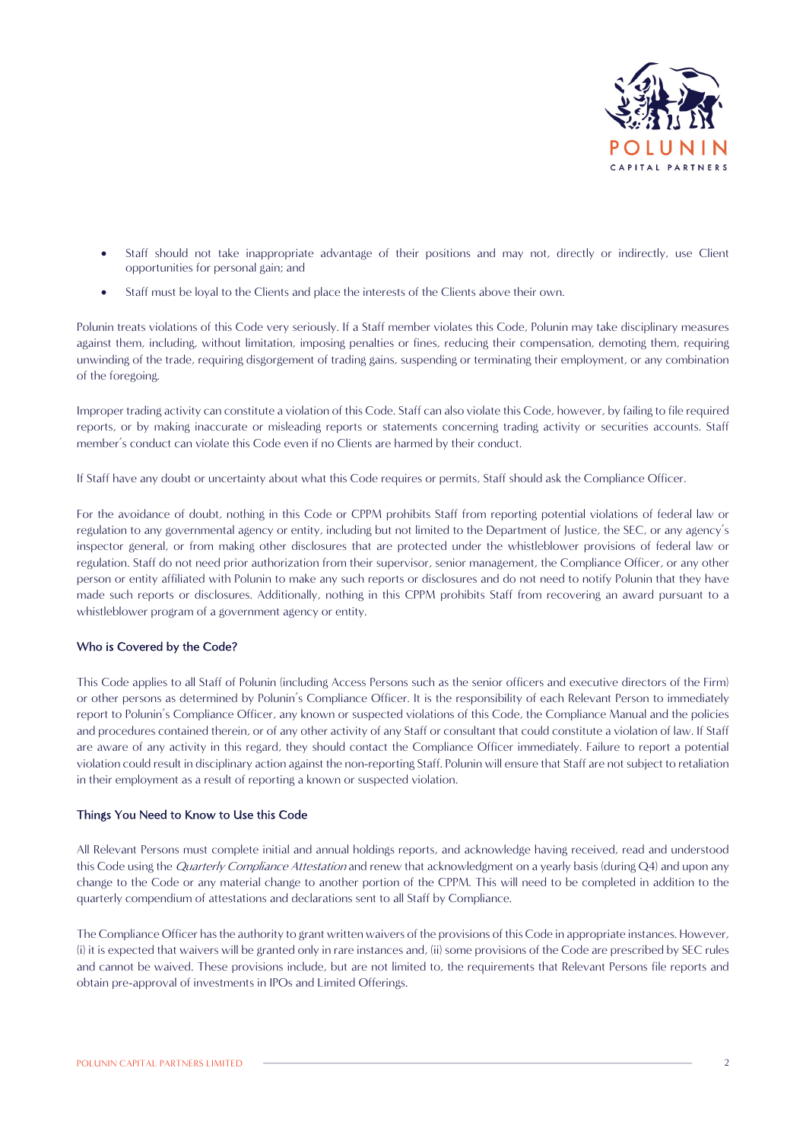

- Staff should not take inappropriate advantage of their positions and may not, directly or indirectly, use Client opportunities for personal gain; and
- Staff must be loyal to the Clients and place the interests of the Clients above their own.

Polunin treats violations of this Code very seriously. If a Staff member violates this Code, Polunin may take disciplinary measures against them, including, without limitation, imposing penalties or fines, reducing their compensation, demoting them, requiring unwinding of the trade, requiring disgorgement of trading gains, suspending or terminating their employment, or any combination of the foregoing.

Improper trading activity can constitute a violation of this Code. Staff can also violate this Code, however, by failing to file required reports, or by making inaccurate or misleading reports or statements concerning trading activity or securities accounts. Staff member's conduct can violate this Code even if no Clients are harmed by their conduct.

If Staff have any doubt or uncertainty about what this Code requires or permits, Staff should ask the Compliance Officer.

For the avoidance of doubt, nothing in this Code or CPPM prohibits Staff from reporting potential violations of federal law or regulation to any governmental agency or entity, including but not limited to the Department of Justice, the SEC, or any agency's inspector general, or from making other disclosures that are protected under the whistleblower provisions of federal law or regulation. Staff do not need prior authorization from their supervisor, senior management, the Compliance Officer, or any other person or entity affiliated with Polunin to make any such reports or disclosures and do not need to notify Polunin that they have made such reports or disclosures. Additionally, nothing in this CPPM prohibits Staff from recovering an award pursuant to a whistleblower program of a government agency or entity.

#### Who is Covered by the Code?

This Code applies to all Staff of Polunin (including Access Persons such as the senior officers and executive directors of the Firm) or other persons as determined by Polunin's Compliance Officer. It is the responsibility of each Relevant Person to immediately report to Polunin's Compliance Officer, any known or suspected violations of this Code, the Compliance Manual and the policies and procedures contained therein, or of any other activity of any Staff or consultant that could constitute a violation of law. If Staff are aware of any activity in this regard, they should contact the Compliance Officer immediately. Failure to report a potential violation could result in disciplinary action against the non-reporting Staff. Polunin will ensure that Staff are not subject to retaliation in their employment as a result of reporting a known or suspected violation.

#### Things You Need to Know to Use this Code

All Relevant Persons must complete initial and annual holdings reports, and acknowledge having received, read and understood this Code using the *Quarterly Compliance Attestation* and renew that acknowledgment on a yearly basis (during Q4) and upon any change to the Code or any material change to another portion of the CPPM. This will need to be completed in addition to the quarterly compendium of attestations and declarations sent to all Staff by Compliance.

The Compliance Officer has the authority to grant written waivers of the provisions of this Code in appropriate instances. However, (i) it is expected that waivers will be granted only in rare instances and, (ii) some provisions of the Code are prescribed by SEC rules and cannot be waived. These provisions include, but are not limited to, the requirements that Relevant Persons file reports and obtain pre-approval of investments in IPOs and Limited Offerings.